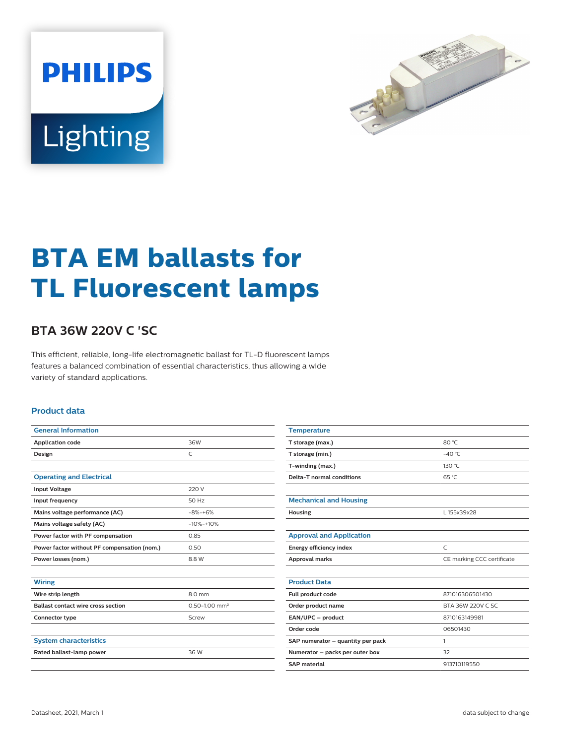



# **BTA EM ballasts for TL Fluorescent lamps**

## **BTA 36W 220V C 'SC**

This efficient, reliable, long-life electromagnetic ballast for TL-D fluorescent lamps features a balanced combination of essential characteristics, thus allowing a wide variety of standard applications.

#### **Product data**

| <b>General Information</b>                  |                               |  |  |  |  |
|---------------------------------------------|-------------------------------|--|--|--|--|
| <b>Application code</b>                     | 36W                           |  |  |  |  |
| Design                                      | C                             |  |  |  |  |
|                                             |                               |  |  |  |  |
| <b>Operating and Electrical</b>             |                               |  |  |  |  |
| <b>Input Voltage</b>                        | 220 V                         |  |  |  |  |
| Input frequency                             | 50 Hz                         |  |  |  |  |
| Mains voltage performance (AC)              | $-8% + 6%$                    |  |  |  |  |
| Mains voltage safety (AC)                   | $-10% + 10%$                  |  |  |  |  |
| Power factor with PF compensation           | 0.85                          |  |  |  |  |
| Power factor without PF compensation (nom.) | 0.50                          |  |  |  |  |
| Power losses (nom.)                         | 8.8 W                         |  |  |  |  |
|                                             |                               |  |  |  |  |
| <b>Wiring</b>                               |                               |  |  |  |  |
| Wire strip length                           | 8.0 mm                        |  |  |  |  |
| <b>Ballast contact wire cross section</b>   | $0.50 - 1.00$ mm <sup>2</sup> |  |  |  |  |
| Connector type                              | Screw                         |  |  |  |  |
|                                             |                               |  |  |  |  |
| <b>System characteristics</b>               |                               |  |  |  |  |
| Rated ballast-lamp power                    | 36 W                          |  |  |  |  |
|                                             |                               |  |  |  |  |

| 80 °C                      |  |  |  |
|----------------------------|--|--|--|
| $-40^{\circ}$ C            |  |  |  |
| 130 °C                     |  |  |  |
| 65 °C                      |  |  |  |
|                            |  |  |  |
|                            |  |  |  |
| L 155x39x28                |  |  |  |
|                            |  |  |  |
|                            |  |  |  |
| $\mathsf{C}$               |  |  |  |
| CE marking CCC certificate |  |  |  |
|                            |  |  |  |
|                            |  |  |  |
| 871016306501430            |  |  |  |
| BTA 36W 220V C SC          |  |  |  |
| 8710163149981              |  |  |  |
| 06501430                   |  |  |  |
| 1                          |  |  |  |
| 32                         |  |  |  |
| 913710119550               |  |  |  |
|                            |  |  |  |